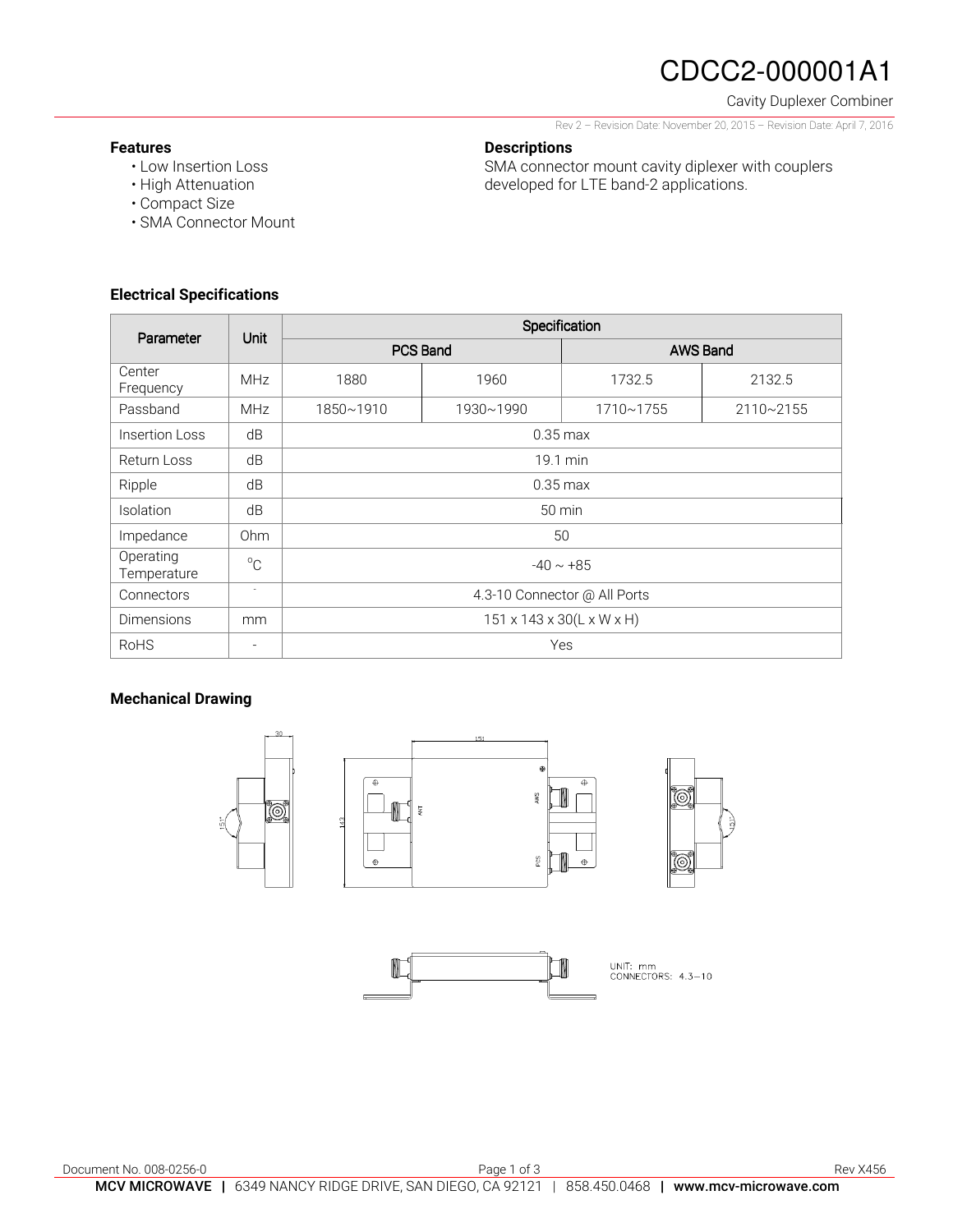# CDCC2-000001A1

### Cavity Duplexer Combiner

Rev 2 – Revision Date: November 20, 2015 – Revision Date: April 7, 2016

SMA connector mount cavity diplexer with couplers

developed for LTE band-2 applications.

### **Features**

- Low Insertion Loss
- High Attenuation
- Compact Size
- SMA Connector Mount

## **Electrical Specifications**

| Parameter                | Unit            | Specification                |           |                 |           |
|--------------------------|-----------------|------------------------------|-----------|-----------------|-----------|
|                          |                 | <b>PCS Band</b>              |           | <b>AWS Band</b> |           |
| Center<br>Frequency      | <b>MHz</b>      | 1880                         | 1960      | 1732.5          | 2132.5    |
| Passband                 | <b>MHz</b>      | 1850~1910                    | 1930~1990 | 1710~1755       | 2110~2155 |
| Insertion Loss           | dB              | $0.35 \text{ max}$           |           |                 |           |
| Return Loss              | dB              | 19.1 min                     |           |                 |           |
| Ripple                   | dB              | $0.35$ max                   |           |                 |           |
| Isolation                | dB              | 50 min                       |           |                 |           |
| Impedance                | 0 <sub>hm</sub> | 50                           |           |                 |           |
| Operating<br>Temperature | $^{\circ}C$     | $-40 \sim +85$               |           |                 |           |
| Connectors               | $\sim$          | 4.3-10 Connector @ All Ports |           |                 |           |
| <b>Dimensions</b>        | mm              | 151 x 143 x 30(L x W x H)    |           |                 |           |
| <b>RoHS</b>              |                 | Yes                          |           |                 |           |

**Descriptions** 

### **Mechanical Drawing**

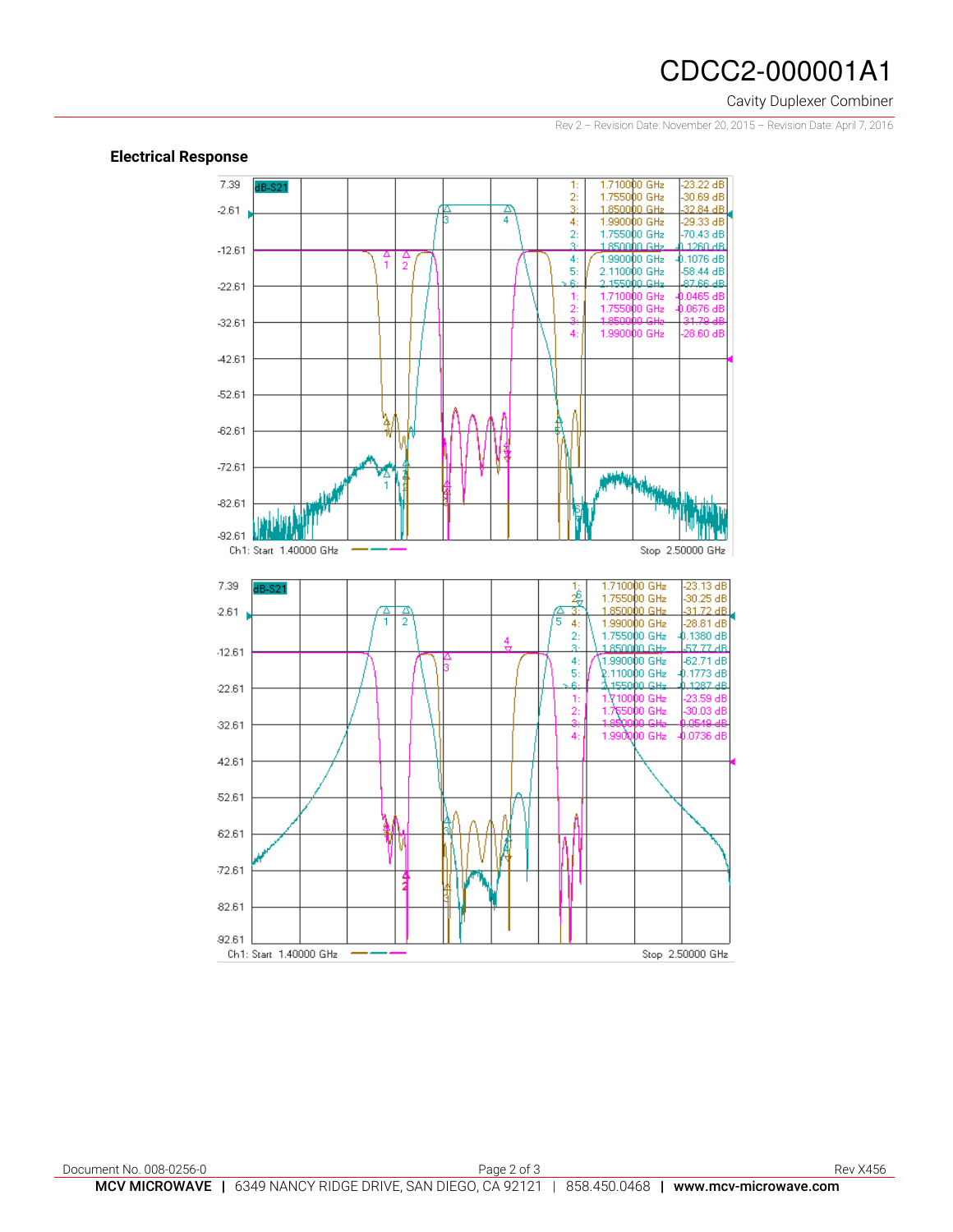## CDCC2-000001A1

#### Cavity Duplexer Combiner

Rev 2 – Revision Date: November 20, 2015 – Revision Date: April 7, 2016

#### **Electrical Response**